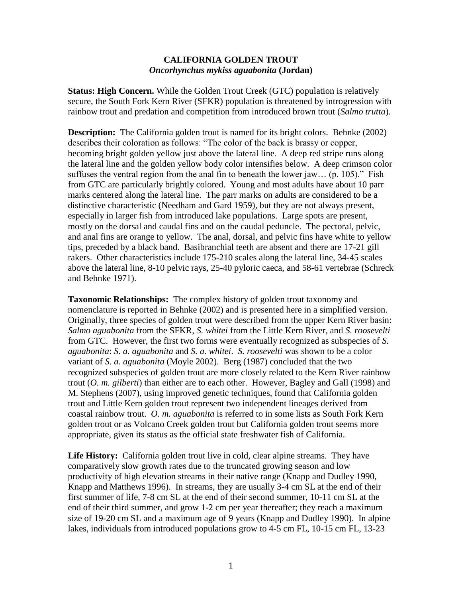## **CALIFORNIA GOLDEN TROUT** *Oncorhynchus mykiss aguabonita* **(Jordan)**

**Status: High Concern.** While the Golden Trout Creek (GTC) population is relatively secure, the South Fork Kern River (SFKR) population is threatened by introgression with rainbow trout and predation and competition from introduced brown trout (*Salmo trutta*).

**Description:** The California golden trout is named for its bright colors. Behnke (2002) describes their coloration as follows: "The color of the back is brassy or copper, becoming bright golden yellow just above the lateral line. A deep red stripe runs along the lateral line and the golden yellow body color intensifies below. A deep crimson color suffuses the ventral region from the anal fin to beneath the lower jaw... (p. 105)." Fish from GTC are particularly brightly colored. Young and most adults have about 10 parr marks centered along the lateral line. The parr marks on adults are considered to be a distinctive characteristic (Needham and Gard 1959), but they are not always present, especially in larger fish from introduced lake populations. Large spots are present, mostly on the dorsal and caudal fins and on the caudal peduncle. The pectoral, pelvic, and anal fins are orange to yellow. The anal, dorsal, and pelvic fins have white to yellow tips, preceded by a black band. Basibranchial teeth are absent and there are 17-21 gill rakers. Other characteristics include 175-210 scales along the lateral line, 34-45 scales above the lateral line, 8-10 pelvic rays, 25-40 pyloric caeca, and 58-61 vertebrae (Schreck and Behnke 1971).

**Taxonomic Relationships:** The complex history of golden trout taxonomy and nomenclature is reported in Behnke (2002) and is presented here in a simplified version. Originally, three species of golden trout were described from the upper Kern River basin: *Salmo aguabonita* from the SFKR, *S. whitei* from the Little Kern River, and *S. roosevelti* from GTC. However, the first two forms were eventually recognized as subspecies of *S. aguabonita*: *S. a. aguabonita* and *S. a. whitei*. *S. roosevelti* was shown to be a color variant of *S. a. aguabonita* (Moyle 2002). Berg (1987) concluded that the two recognized subspecies of golden trout are more closely related to the Kern River rainbow trout (*O. m. gilberti*) than either are to each other. However, Bagley and Gall (1998) and M. Stephens (2007), using improved genetic techniques, found that California golden trout and Little Kern golden trout represent two independent lineages derived from coastal rainbow trout. *O. m. aguabonita* is referred to in some lists as South Fork Kern golden trout or as Volcano Creek golden trout but California golden trout seems more appropriate, given its status as the official state freshwater fish of California.

Life History: California golden trout live in cold, clear alpine streams. They have comparatively slow growth rates due to the truncated growing season and low productivity of high elevation streams in their native range (Knapp and Dudley 1990, Knapp and Matthews 1996). In streams, they are usually 3-4 cm SL at the end of their first summer of life, 7-8 cm SL at the end of their second summer, 10-11 cm SL at the end of their third summer, and grow 1-2 cm per year thereafter; they reach a maximum size of 19-20 cm SL and a maximum age of 9 years (Knapp and Dudley 1990). In alpine lakes, individuals from introduced populations grow to 4-5 cm FL, 10-15 cm FL, 13-23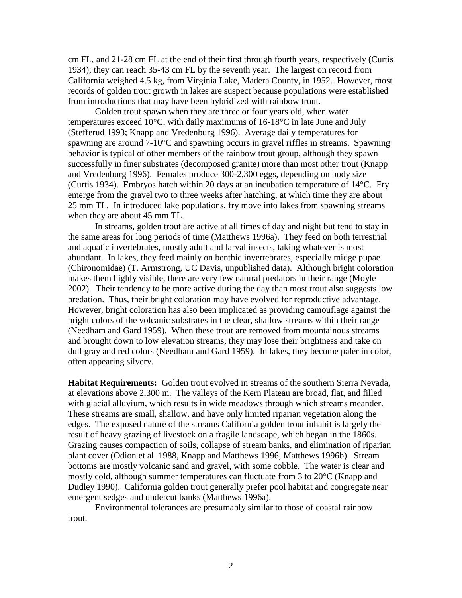cm FL, and 21-28 cm FL at the end of their first through fourth years, respectively (Curtis 1934); they can reach 35-43 cm FL by the seventh year. The largest on record from California weighed 4.5 kg, from Virginia Lake, Madera County, in 1952. However, most records of golden trout growth in lakes are suspect because populations were established from introductions that may have been hybridized with rainbow trout.

Golden trout spawn when they are three or four years old, when water temperatures exceed 10°C, with daily maximums of 16-18°C in late June and July (Stefferud 1993; Knapp and Vredenburg 1996). Average daily temperatures for spawning are around  $7-10^{\circ}$ C and spawning occurs in gravel riffles in streams. Spawning behavior is typical of other members of the rainbow trout group, although they spawn successfully in finer substrates (decomposed granite) more than most other trout (Knapp and Vredenburg 1996). Females produce 300-2,300 eggs, depending on body size (Curtis 1934). Embryos hatch within 20 days at an incubation temperature of 14°C. Fry emerge from the gravel two to three weeks after hatching, at which time they are about 25 mm TL. In introduced lake populations, fry move into lakes from spawning streams when they are about 45 mm TL.

In streams, golden trout are active at all times of day and night but tend to stay in the same areas for long periods of time (Matthews 1996a). They feed on both terrestrial and aquatic invertebrates, mostly adult and larval insects, taking whatever is most abundant. In lakes, they feed mainly on benthic invertebrates, especially midge pupae (Chironomidae) (T. Armstrong, UC Davis, unpublished data). Although bright coloration makes them highly visible, there are very few natural predators in their range (Moyle 2002). Their tendency to be more active during the day than most trout also suggests low predation. Thus, their bright coloration may have evolved for reproductive advantage. However, bright coloration has also been implicated as providing camouflage against the bright colors of the volcanic substrates in the clear, shallow streams within their range (Needham and Gard 1959). When these trout are removed from mountainous streams and brought down to low elevation streams, they may lose their brightness and take on dull gray and red colors (Needham and Gard 1959). In lakes, they become paler in color, often appearing silvery.

**Habitat Requirements:** Golden trout evolved in streams of the southern Sierra Nevada, at elevations above 2,300 m. The valleys of the Kern Plateau are broad, flat, and filled with glacial alluvium, which results in wide meadows through which streams meander. These streams are small, shallow, and have only limited riparian vegetation along the edges. The exposed nature of the streams California golden trout inhabit is largely the result of heavy grazing of livestock on a fragile landscape, which began in the 1860s. Grazing causes compaction of soils, collapse of stream banks, and elimination of riparian plant cover (Odion et al. 1988, Knapp and Matthews 1996, Matthews 1996b). Stream bottoms are mostly volcanic sand and gravel, with some cobble. The water is clear and mostly cold, although summer temperatures can fluctuate from 3 to 20°C (Knapp and Dudley 1990). California golden trout generally prefer pool habitat and congregate near emergent sedges and undercut banks (Matthews 1996a).

Environmental tolerances are presumably similar to those of coastal rainbow trout.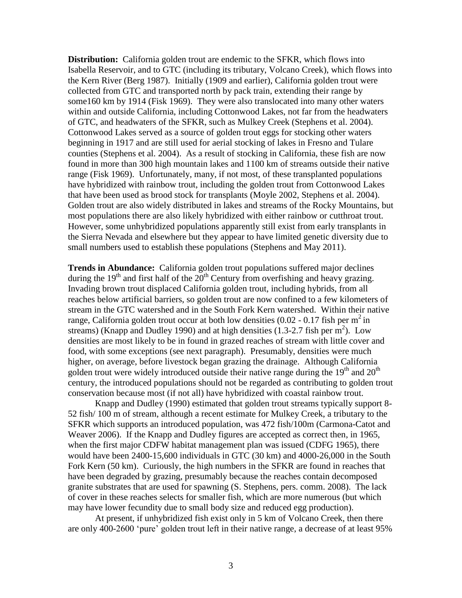**Distribution:** California golden trout are endemic to the SFKR, which flows into Isabella Reservoir, and to GTC (including its tributary, Volcano Creek), which flows into the Kern River (Berg 1987). Initially (1909 and earlier), California golden trout were collected from GTC and transported north by pack train, extending their range by some160 km by 1914 (Fisk 1969). They were also translocated into many other waters within and outside California, including Cottonwood Lakes, not far from the headwaters of GTC, and headwaters of the SFKR, such as Mulkey Creek (Stephens et al. 2004). Cottonwood Lakes served as a source of golden trout eggs for stocking other waters beginning in 1917 and are still used for aerial stocking of lakes in Fresno and Tulare counties (Stephens et al. 2004). As a result of stocking in California, these fish are now found in more than 300 high mountain lakes and 1100 km of streams outside their native range (Fisk 1969). Unfortunately, many, if not most, of these transplanted populations have hybridized with rainbow trout, including the golden trout from Cottonwood Lakes that have been used as brood stock for transplants (Moyle 2002, Stephens et al. 2004). Golden trout are also widely distributed in lakes and streams of the Rocky Mountains, but most populations there are also likely hybridized with either rainbow or cutthroat trout. However, some unhybridized populations apparently still exist from early transplants in the Sierra Nevada and elsewhere but they appear to have limited genetic diversity due to small numbers used to establish these populations (Stephens and May 2011).

**Trends in Abundance:** California golden trout populations suffered major declines during the  $19<sup>th</sup>$  and first half of the  $20<sup>th</sup>$  Century from overfishing and heavy grazing. Invading brown trout displaced California golden trout, including hybrids, from all reaches below artificial barriers, so golden trout are now confined to a few kilometers of stream in the GTC watershed and in the South Fork Kern watershed. Within their native range, California golden trout occur at both low densities (0.02 - 0.17 fish per  $m^2$  in streams) (Knapp and Dudley 1990) and at high densities  $(1.3-2.7 \text{ fish per m}^2)$ . Low densities are most likely to be in found in grazed reaches of stream with little cover and food, with some exceptions (see next paragraph). Presumably, densities were much higher, on average, before livestock began grazing the drainage. Although California golden trout were widely introduced outside their native range during the  $19<sup>th</sup>$  and  $20<sup>th</sup>$ century, the introduced populations should not be regarded as contributing to golden trout conservation because most (if not all) have hybridized with coastal rainbow trout.

Knapp and Dudley (1990) estimated that golden trout streams typically support 8- 52 fish/ 100 m of stream, although a recent estimate for Mulkey Creek, a tributary to the SFKR which supports an introduced population, was 472 fish/100m (Carmona-Catot and Weaver 2006). If the Knapp and Dudley figures are accepted as correct then, in 1965, when the first major CDFW habitat management plan was issued (CDFG 1965), there would have been 2400-15,600 individuals in GTC (30 km) and 4000-26,000 in the South Fork Kern (50 km). Curiously, the high numbers in the SFKR are found in reaches that have been degraded by grazing, presumably because the reaches contain decomposed granite substrates that are used for spawning (S. Stephens, pers. comm. 2008). The lack of cover in these reaches selects for smaller fish, which are more numerous (but which may have lower fecundity due to small body size and reduced egg production).

At present, if unhybridized fish exist only in 5 km of Volcano Creek, then there are only 400-2600 'pure' golden trout left in their native range, a decrease of at least 95%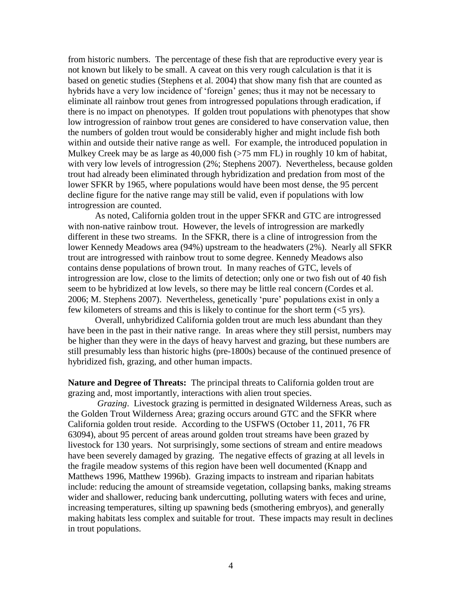from historic numbers. The percentage of these fish that are reproductive every year is not known but likely to be small. A caveat on this very rough calculation is that it is based on genetic studies (Stephens et al. 2004) that show many fish that are counted as hybrids have a very low incidence of 'foreign' genes; thus it may not be necessary to eliminate all rainbow trout genes from introgressed populations through eradication, if there is no impact on phenotypes. If golden trout populations with phenotypes that show low introgression of rainbow trout genes are considered to have conservation value, then the numbers of golden trout would be considerably higher and might include fish both within and outside their native range as well. For example, the introduced population in Mulkey Creek may be as large as 40,000 fish (>75 mm FL) in roughly 10 km of habitat, with very low levels of introgression (2%; Stephens 2007). Nevertheless, because golden trout had already been eliminated through hybridization and predation from most of the lower SFKR by 1965, where populations would have been most dense, the 95 percent decline figure for the native range may still be valid, even if populations with low introgression are counted.

As noted, California golden trout in the upper SFKR and GTC are introgressed with non-native rainbow trout. However, the levels of introgression are markedly different in these two streams. In the SFKR, there is a cline of introgression from the lower Kennedy Meadows area (94%) upstream to the headwaters (2%). Nearly all SFKR trout are introgressed with rainbow trout to some degree. Kennedy Meadows also contains dense populations of brown trout*.* In many reaches of GTC, levels of introgression are low, close to the limits of detection; only one or two fish out of 40 fish seem to be hybridized at low levels, so there may be little real concern (Cordes et al. 2006; M. Stephens 2007). Nevertheless, genetically 'pure' populations exist in only a few kilometers of streams and this is likely to continue for the short term (<5 yrs).

Overall, unhybridized California golden trout are much less abundant than they have been in the past in their native range. In areas where they still persist, numbers may be higher than they were in the days of heavy harvest and grazing, but these numbers are still presumably less than historic highs (pre-1800s) because of the continued presence of hybridized fish, grazing, and other human impacts.

**Nature and Degree of Threats:** The principal threats to California golden trout are grazing and, most importantly, interactions with alien trout species.

*Grazing*. Livestock grazing is permitted in designated Wilderness Areas, such as the Golden Trout Wilderness Area; grazing occurs around GTC and the SFKR where California golden trout reside. According to the USFWS (October 11, 2011, 76 FR 63094), about 95 percent of areas around golden trout streams have been grazed by livestock for 130 years. Not surprisingly, some sections of stream and entire meadows have been severely damaged by grazing. The negative effects of grazing at all levels in the fragile meadow systems of this region have been well documented (Knapp and Matthews 1996, Matthew 1996b). Grazing impacts to instream and riparian habitats include: reducing the amount of streamside vegetation, collapsing banks, making streams wider and shallower, reducing bank undercutting, polluting waters with feces and urine, increasing temperatures, silting up spawning beds (smothering embryos), and generally making habitats less complex and suitable for trout. These impacts may result in declines in trout populations.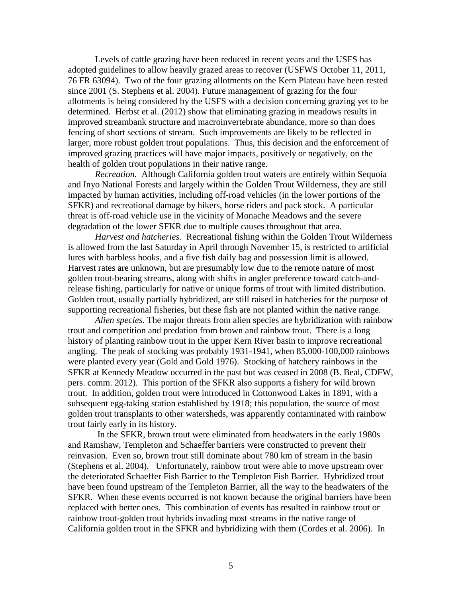Levels of cattle grazing have been reduced in recent years and the USFS has adopted guidelines to allow heavily grazed areas to recover (USFWS October 11, 2011, 76 FR 63094). Two of the four grazing allotments on the Kern Plateau have been rested since 2001 (S. Stephens et al. 2004). Future management of grazing for the four allotments is being considered by the USFS with a decision concerning grazing yet to be determined. Herbst et al. (2012) show that eliminating grazing in meadows results in improved streambank structure and macroinvertebrate abundance, more so than does fencing of short sections of stream. Such improvements are likely to be reflected in larger, more robust golden trout populations. Thus, this decision and the enforcement of improved grazing practices will have major impacts, positively or negatively, on the health of golden trout populations in their native range.

*Recreation.* Although California golden trout waters are entirely within Sequoia and Inyo National Forests and largely within the Golden Trout Wilderness, they are still impacted by human activities, including off-road vehicles (in the lower portions of the SFKR) and recreational damage by hikers, horse riders and pack stock. A particular threat is off-road vehicle use in the vicinity of Monache Meadows and the severe degradation of the lower SFKR due to multiple causes throughout that area.

*Harvest and hatcheries.* Recreational fishing within the Golden Trout Wilderness is allowed from the last Saturday in April through November 15, is restricted to artificial lures with barbless hooks, and a five fish daily bag and possession limit is allowed. Harvest rates are unknown, but are presumably low due to the remote nature of most golden trout-bearing streams, along with shifts in angler preference toward catch-andrelease fishing, particularly for native or unique forms of trout with limited distribution. Golden trout, usually partially hybridized, are still raised in hatcheries for the purpose of supporting recreational fisheries, but these fish are not planted within the native range.

*Alien species.* The major threats from alien species are hybridization with rainbow trout and competition and predation from brown and rainbow trout. There is a long history of planting rainbow trout in the upper Kern River basin to improve recreational angling. The peak of stocking was probably 1931-1941, when 85,000-100,000 rainbows were planted every year (Gold and Gold 1976). Stocking of hatchery rainbows in the SFKR at Kennedy Meadow occurred in the past but was ceased in 2008 (B. Beal, CDFW, pers. comm. 2012). This portion of the SFKR also supports a fishery for wild brown trout. In addition, golden trout were introduced in Cottonwood Lakes in 1891, with a subsequent egg-taking station established by 1918; this population, the source of most golden trout transplants to other watersheds, was apparently contaminated with rainbow trout fairly early in its history.

In the SFKR, brown trout were eliminated from headwaters in the early 1980s and Ramshaw, Templeton and Schaeffer barriers were constructed to prevent their reinvasion. Even so, brown trout still dominate about 780 km of stream in the basin (Stephens et al. 2004). Unfortunately, rainbow trout were able to move upstream over the deteriorated Schaeffer Fish Barrier to the Templeton Fish Barrier. Hybridized trout have been found upstream of the Templeton Barrier, all the way to the headwaters of the SFKR. When these events occurred is not known because the original barriers have been replaced with better ones. This combination of events has resulted in rainbow trout or rainbow trout-golden trout hybrids invading most streams in the native range of California golden trout in the SFKR and hybridizing with them (Cordes et al. 2006). In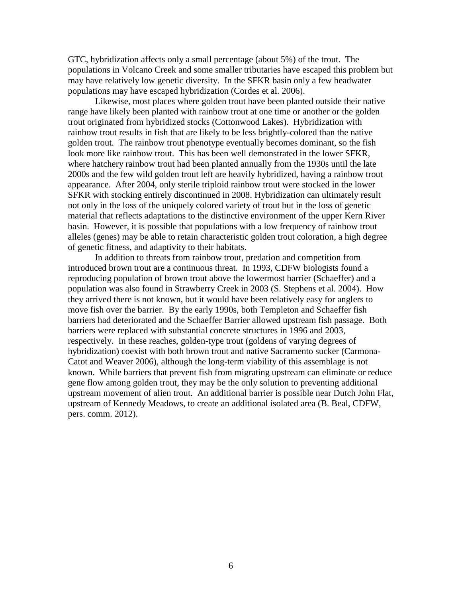GTC, hybridization affects only a small percentage (about 5%) of the trout. The populations in Volcano Creek and some smaller tributaries have escaped this problem but may have relatively low genetic diversity. In the SFKR basin only a few headwater populations may have escaped hybridization (Cordes et al. 2006).

Likewise, most places where golden trout have been planted outside their native range have likely been planted with rainbow trout at one time or another or the golden trout originated from hybridized stocks (Cottonwood Lakes). Hybridization with rainbow trout results in fish that are likely to be less brightly-colored than the native golden trout. The rainbow trout phenotype eventually becomes dominant, so the fish look more like rainbow trout. This has been well demonstrated in the lower SFKR, where hatchery rainbow trout had been planted annually from the 1930s until the late 2000s and the few wild golden trout left are heavily hybridized, having a rainbow trout appearance. After 2004, only sterile triploid rainbow trout were stocked in the lower SFKR with stocking entirely discontinued in 2008. Hybridization can ultimately result not only in the loss of the uniquely colored variety of trout but in the loss of genetic material that reflects adaptations to the distinctive environment of the upper Kern River basin. However, it is possible that populations with a low frequency of rainbow trout alleles (genes) may be able to retain characteristic golden trout coloration, a high degree of genetic fitness, and adaptivity to their habitats.

In addition to threats from rainbow trout, predation and competition from introduced brown trout are a continuous threat. In 1993, CDFW biologists found a reproducing population of brown trout above the lowermost barrier (Schaeffer) and a population was also found in Strawberry Creek in 2003 (S. Stephens et al. 2004). How they arrived there is not known, but it would have been relatively easy for anglers to move fish over the barrier. By the early 1990s, both Templeton and Schaeffer fish barriers had deteriorated and the Schaeffer Barrier allowed upstream fish passage. Both barriers were replaced with substantial concrete structures in 1996 and 2003, respectively. In these reaches, golden-type trout (goldens of varying degrees of hybridization) coexist with both brown trout and native Sacramento sucker (Carmona-Catot and Weaver 2006), although the long-term viability of this assemblage is not known. While barriers that prevent fish from migrating upstream can eliminate or reduce gene flow among golden trout, they may be the only solution to preventing additional upstream movement of alien trout. An additional barrier is possible near Dutch John Flat, upstream of Kennedy Meadows, to create an additional isolated area (B. Beal, CDFW, pers. comm. 2012).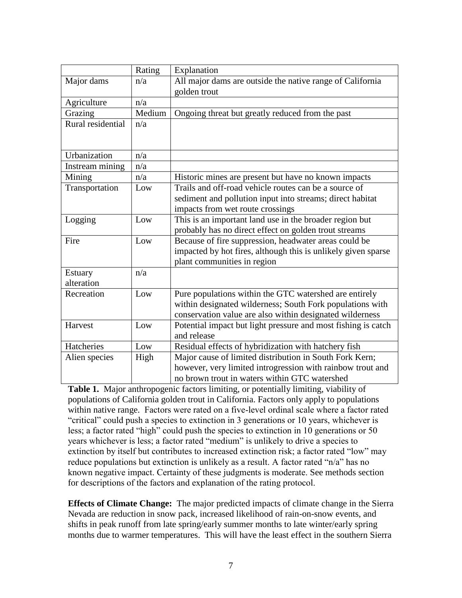|                   | Rating | Explanation                                                   |  |  |
|-------------------|--------|---------------------------------------------------------------|--|--|
| Major dams        | n/a    | All major dams are outside the native range of California     |  |  |
|                   |        | golden trout                                                  |  |  |
| Agriculture       | n/a    |                                                               |  |  |
| Grazing           | Medium | Ongoing threat but greatly reduced from the past              |  |  |
| Rural residential | n/a    |                                                               |  |  |
|                   |        |                                                               |  |  |
| Urbanization      |        |                                                               |  |  |
|                   | n/a    |                                                               |  |  |
| Instream mining   | n/a    |                                                               |  |  |
| Mining            | n/a    | Historic mines are present but have no known impacts          |  |  |
| Transportation    | Low    | Trails and off-road vehicle routes can be a source of         |  |  |
|                   |        | sediment and pollution input into streams; direct habitat     |  |  |
|                   |        | impacts from wet route crossings                              |  |  |
| Logging           | Low    | This is an important land use in the broader region but       |  |  |
|                   |        | probably has no direct effect on golden trout streams         |  |  |
| Fire              | Low    | Because of fire suppression, headwater areas could be         |  |  |
|                   |        | impacted by hot fires, although this is unlikely given sparse |  |  |
|                   |        | plant communities in region                                   |  |  |
| <b>Estuary</b>    | n/a    |                                                               |  |  |
| alteration        |        |                                                               |  |  |
| Recreation        | Low    | Pure populations within the GTC watershed are entirely        |  |  |
|                   |        | within designated wilderness; South Fork populations with     |  |  |
|                   |        | conservation value are also within designated wilderness      |  |  |
| Harvest           | Low    | Potential impact but light pressure and most fishing is catch |  |  |
|                   |        | and release                                                   |  |  |
| Hatcheries        | Low    | Residual effects of hybridization with hatchery fish          |  |  |
| Alien species     | High   | Major cause of limited distribution in South Fork Kern;       |  |  |
|                   |        | however, very limited introgression with rainbow trout and    |  |  |
|                   |        | no brown trout in waters within GTC watershed                 |  |  |

**Table 1.** Major anthropogenic factors limiting, or potentially limiting, viability of populations of California golden trout in California. Factors only apply to populations within native range. Factors were rated on a five-level ordinal scale where a factor rated "critical" could push a species to extinction in 3 generations or 10 years, whichever is less; a factor rated "high" could push the species to extinction in 10 generations or 50 years whichever is less; a factor rated "medium" is unlikely to drive a species to extinction by itself but contributes to increased extinction risk; a factor rated "low" may reduce populations but extinction is unlikely as a result. A factor rated "n/a" has no known negative impact. Certainty of these judgments is moderate. See methods section for descriptions of the factors and explanation of the rating protocol.

**Effects of Climate Change:** The major predicted impacts of climate change in the Sierra Nevada are reduction in snow pack, increased likelihood of rain-on-snow events, and shifts in peak runoff from late spring/early summer months to late winter/early spring months due to warmer temperatures. This will have the least effect in the southern Sierra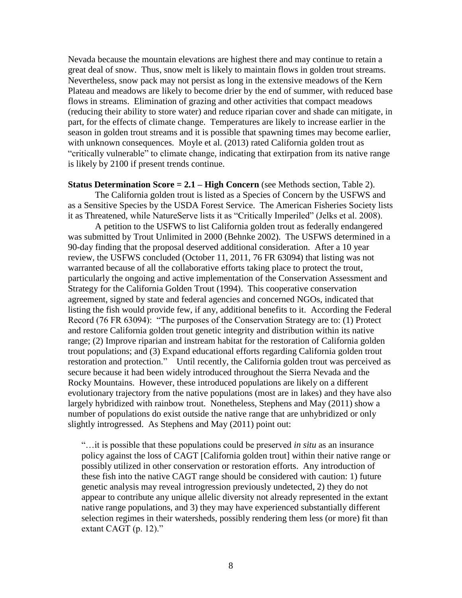Nevada because the mountain elevations are highest there and may continue to retain a great deal of snow. Thus, snow melt is likely to maintain flows in golden trout streams. Nevertheless, snow pack may not persist as long in the extensive meadows of the Kern Plateau and meadows are likely to become drier by the end of summer, with reduced base flows in streams. Elimination of grazing and other activities that compact meadows (reducing their ability to store water) and reduce riparian cover and shade can mitigate, in part, for the effects of climate change. Temperatures are likely to increase earlier in the season in golden trout streams and it is possible that spawning times may become earlier, with unknown consequences. Moyle et al. (2013) rated California golden trout as "critically vulnerable" to climate change, indicating that extirpation from its native range is likely by 2100 if present trends continue.

**Status Determination Score = 2.1 – High Concern** (see Methods section, Table 2).

The California golden trout is listed as a Species of Concern by the USFWS and as a Sensitive Species by the USDA Forest Service. The American Fisheries Society lists it as Threatened, while NatureServe lists it as "Critically Imperiled" (Jelks et al. 2008).

A petition to the USFWS to list California golden trout as federally endangered was submitted by Trout Unlimited in 2000 (Behnke 2002). The USFWS determined in a 90-day finding that the proposal deserved additional consideration. After a 10 year review, the USFWS concluded (October 11, 2011, 76 FR 63094) that listing was not warranted because of all the collaborative efforts taking place to protect the trout, particularly the ongoing and active implementation of the Conservation Assessment and Strategy for the California Golden Trout (1994). This cooperative conservation agreement, signed by state and federal agencies and concerned NGOs, indicated that listing the fish would provide few, if any, additional benefits to it. According the Federal Record (76 FR 63094): "The purposes of the Conservation Strategy are to: (1) Protect and restore California golden trout genetic integrity and distribution within its native range; (2) Improve riparian and instream habitat for the restoration of California golden trout populations; and (3) Expand educational efforts regarding California golden trout restoration and protection." Until recently, the California golden trout was perceived as secure because it had been widely introduced throughout the Sierra Nevada and the Rocky Mountains. However, these introduced populations are likely on a different evolutionary trajectory from the native populations (most are in lakes) and they have also largely hybridized with rainbow trout. Nonetheless, Stephens and May (2011) show a number of populations do exist outside the native range that are unhybridized or only slightly introgressed. As Stephens and May (2011) point out:

"…it is possible that these populations could be preserved *in situ* as an insurance policy against the loss of CAGT [California golden trout] within their native range or possibly utilized in other conservation or restoration efforts. Any introduction of these fish into the native CAGT range should be considered with caution: 1) future genetic analysis may reveal introgression previously undetected, 2) they do not appear to contribute any unique allelic diversity not already represented in the extant native range populations, and 3) they may have experienced substantially different selection regimes in their watersheds, possibly rendering them less (or more) fit than extant CAGT (p. 12)."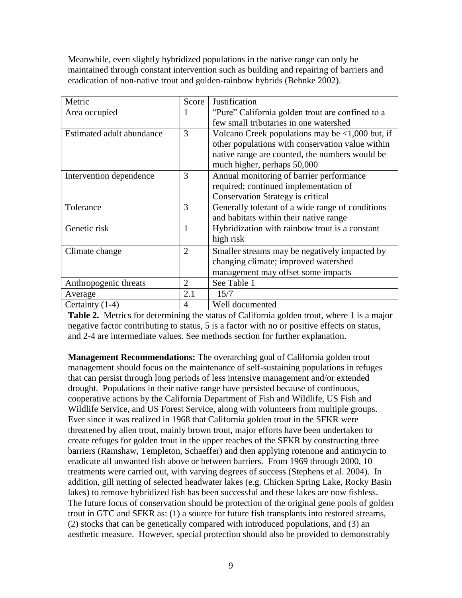Meanwhile, even slightly hybridized populations in the native range can only be maintained through constant intervention such as building and repairing of barriers and eradication of non-native trout and golden-rainbow hybrids (Behnke 2002).

| Metric                    | Score          | Justification                                        |
|---------------------------|----------------|------------------------------------------------------|
| Area occupied             | 1              | "Pure" California golden trout are confined to a     |
|                           |                | few small tributaries in one watershed               |
| Estimated adult abundance | 3              | Volcano Creek populations may be $\lt 1,000$ but, if |
|                           |                | other populations with conservation value within     |
|                           |                | native range are counted, the numbers would be       |
|                           |                | much higher, perhaps 50,000                          |
| Intervention dependence   | 3              | Annual monitoring of barrier performance             |
|                           |                | required; continued implementation of                |
|                           |                | <b>Conservation Strategy is critical</b>             |
| Tolerance                 | 3              | Generally tolerant of a wide range of conditions     |
|                           |                | and habitats within their native range               |
| Genetic risk              | 1              | Hybridization with rainbow trout is a constant       |
|                           |                | high risk                                            |
| Climate change            | $\overline{2}$ | Smaller streams may be negatively impacted by        |
|                           |                | changing climate; improved watershed                 |
|                           |                | management may offset some impacts                   |
| Anthropogenic threats     | $\overline{2}$ | See Table 1                                          |
| Average                   | 2.1            | 15/7                                                 |
| Certainty (1-4)           | 4              | Well documented                                      |

**Table 2.** Metrics for determining the status of California golden trout, where 1 is a major negative factor contributing to status, 5 is a factor with no or positive effects on status, and 2-4 are intermediate values. See methods section for further explanation.

**Management Recommendations:** The overarching goal of California golden trout management should focus on the maintenance of self-sustaining populations in refuges that can persist through long periods of less intensive management and/or extended drought. Populations in their native range have persisted because of continuous, cooperative actions by the California Department of Fish and Wildlife, US Fish and Wildlife Service, and US Forest Service, along with volunteers from multiple groups. Ever since it was realized in 1968 that California golden trout in the SFKR were threatened by alien trout, mainly brown trout, major efforts have been undertaken to create refuges for golden trout in the upper reaches of the SFKR by constructing three barriers (Ramshaw, Templeton, Schaeffer) and then applying rotenone and antimycin to eradicate all unwanted fish above or between barriers. From 1969 through 2000, 10 treatments were carried out, with varying degrees of success (Stephens et al. 2004). In addition, gill netting of selected headwater lakes (e.g. Chicken Spring Lake, Rocky Basin lakes) to remove hybridized fish has been successful and these lakes are now fishless. The future focus of conservation should be protection of the original gene pools of golden trout in GTC and SFKR as: (1) a source for future fish transplants into restored streams, (2) stocks that can be genetically compared with introduced populations, and (3) an aesthetic measure. However, special protection should also be provided to demonstrably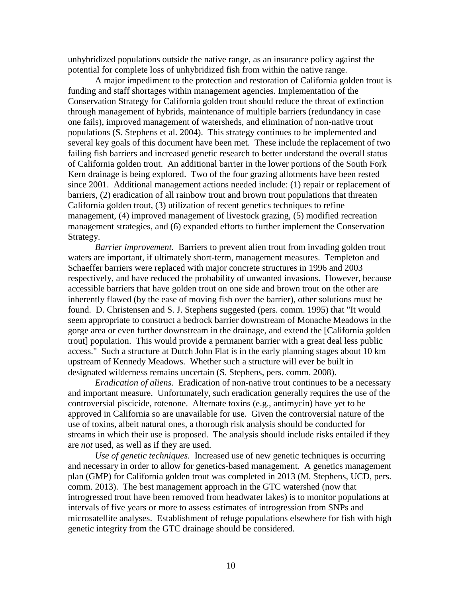unhybridized populations outside the native range, as an insurance policy against the potential for complete loss of unhybridized fish from within the native range.

A major impediment to the protection and restoration of California golden trout is funding and staff shortages within management agencies. Implementation of the Conservation Strategy for California golden trout should reduce the threat of extinction through management of hybrids, maintenance of multiple barriers (redundancy in case one fails), improved management of watersheds, and elimination of non-native trout populations (S. Stephens et al. 2004). This strategy continues to be implemented and several key goals of this document have been met. These include the replacement of two failing fish barriers and increased genetic research to better understand the overall status of California golden trout. An additional barrier in the lower portions of the South Fork Kern drainage is being explored. Two of the four grazing allotments have been rested since 2001. Additional management actions needed include: (1) repair or replacement of barriers, (2) eradication of all rainbow trout and brown trout populations that threaten California golden trout, (3) utilization of recent genetics techniques to refine management, (4) improved management of livestock grazing, (5) modified recreation management strategies, and (6) expanded efforts to further implement the Conservation Strategy.

*Barrier improvement.* Barriers to prevent alien trout from invading golden trout waters are important, if ultimately short-term, management measures. Templeton and Schaeffer barriers were replaced with major concrete structures in 1996 and 2003 respectively, and have reduced the probability of unwanted invasions. However, because accessible barriers that have golden trout on one side and brown trout on the other are inherently flawed (by the ease of moving fish over the barrier), other solutions must be found. D. Christensen and S. J. Stephens suggested (pers. comm. 1995) that "It would seem appropriate to construct a bedrock barrier downstream of Monache Meadows in the gorge area or even further downstream in the drainage, and extend the [California golden trout] population. This would provide a permanent barrier with a great deal less public access." Such a structure at Dutch John Flat is in the early planning stages about 10 km upstream of Kennedy Meadows. Whether such a structure will ever be built in designated wilderness remains uncertain (S. Stephens, pers. comm. 2008).

*Eradication of aliens.* Eradication of non-native trout continues to be a necessary and important measure. Unfortunately, such eradication generally requires the use of the controversial piscicide, rotenone. Alternate toxins (e.g., antimycin) have yet to be approved in California so are unavailable for use. Given the controversial nature of the use of toxins, albeit natural ones, a thorough risk analysis should be conducted for streams in which their use is proposed. The analysis should include risks entailed if they are *not* used, as well as if they are used.

*Use of genetic techniques.* Increased use of new genetic techniques is occurring and necessary in order to allow for genetics-based management. A genetics management plan (GMP) for California golden trout was completed in 2013 (M. Stephens, UCD, pers. comm. 2013). The best management approach in the GTC watershed (now that introgressed trout have been removed from headwater lakes) is to monitor populations at intervals of five years or more to assess estimates of introgression from SNPs and microsatellite analyses. Establishment of refuge populations elsewhere for fish with high genetic integrity from the GTC drainage should be considered.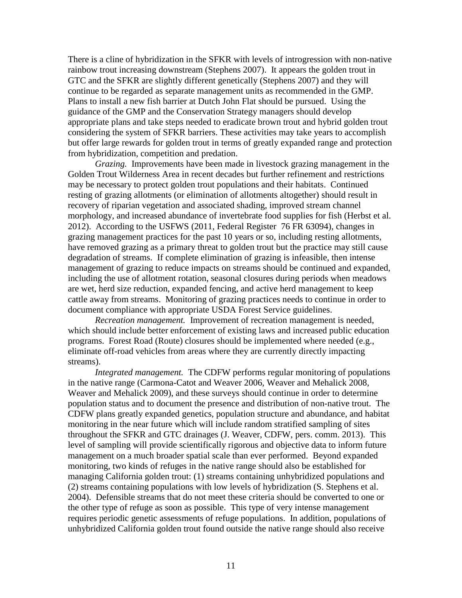There is a cline of hybridization in the SFKR with levels of introgression with non-native rainbow trout increasing downstream (Stephens 2007). It appears the golden trout in GTC and the SFKR are slightly different genetically (Stephens 2007) and they will continue to be regarded as separate management units as recommended in the GMP. Plans to install a new fish barrier at Dutch John Flat should be pursued. Using the guidance of the GMP and the Conservation Strategy managers should develop appropriate plans and take steps needed to eradicate brown trout and hybrid golden trout considering the system of SFKR barriers. These activities may take years to accomplish but offer large rewards for golden trout in terms of greatly expanded range and protection from hybridization, competition and predation.

*Grazing.* Improvements have been made in livestock grazing management in the Golden Trout Wilderness Area in recent decades but further refinement and restrictions may be necessary to protect golden trout populations and their habitats. Continued resting of grazing allotments (or elimination of allotments altogether) should result in recovery of riparian vegetation and associated shading, improved stream channel morphology, and increased abundance of invertebrate food supplies for fish (Herbst et al. 2012). According to the USFWS (2011, Federal Register 76 FR 63094), changes in grazing management practices for the past 10 years or so, including resting allotments, have removed grazing as a primary threat to golden trout but the practice may still cause degradation of streams. If complete elimination of grazing is infeasible, then intense management of grazing to reduce impacts on streams should be continued and expanded, including the use of allotment rotation, seasonal closures during periods when meadows are wet, herd size reduction, expanded fencing, and active herd management to keep cattle away from streams. Monitoring of grazing practices needs to continue in order to document compliance with appropriate USDA Forest Service guidelines.

*Recreation management.* Improvement of recreation management is needed, which should include better enforcement of existing laws and increased public education programs. Forest Road (Route) closures should be implemented where needed (e.g., eliminate off-road vehicles from areas where they are currently directly impacting streams).

*Integrated management.* The CDFW performs regular monitoring of populations in the native range (Carmona-Catot and Weaver 2006, Weaver and Mehalick 2008, Weaver and Mehalick 2009), and these surveys should continue in order to determine population status and to document the presence and distribution of non-native trout. The CDFW plans greatly expanded genetics, population structure and abundance, and habitat monitoring in the near future which will include random stratified sampling of sites throughout the SFKR and GTC drainages (J. Weaver, CDFW, pers. comm. 2013). This level of sampling will provide scientifically rigorous and objective data to inform future management on a much broader spatial scale than ever performed. Beyond expanded monitoring, two kinds of refuges in the native range should also be established for managing California golden trout: (1) streams containing unhybridized populations and (2) streams containing populations with low levels of hybridization (S. Stephens et al. 2004). Defensible streams that do not meet these criteria should be converted to one or the other type of refuge as soon as possible. This type of very intense management requires periodic genetic assessments of refuge populations. In addition, populations of unhybridized California golden trout found outside the native range should also receive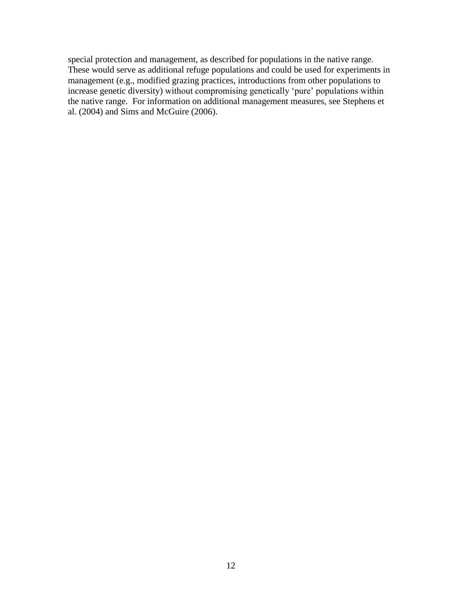special protection and management, as described for populations in the native range. These would serve as additional refuge populations and could be used for experiments in management (e.g., modified grazing practices, introductions from other populations to increase genetic diversity) without compromising genetically 'pure' populations within the native range. For information on additional management measures, see Stephens et al. (2004) and Sims and McGuire (2006).